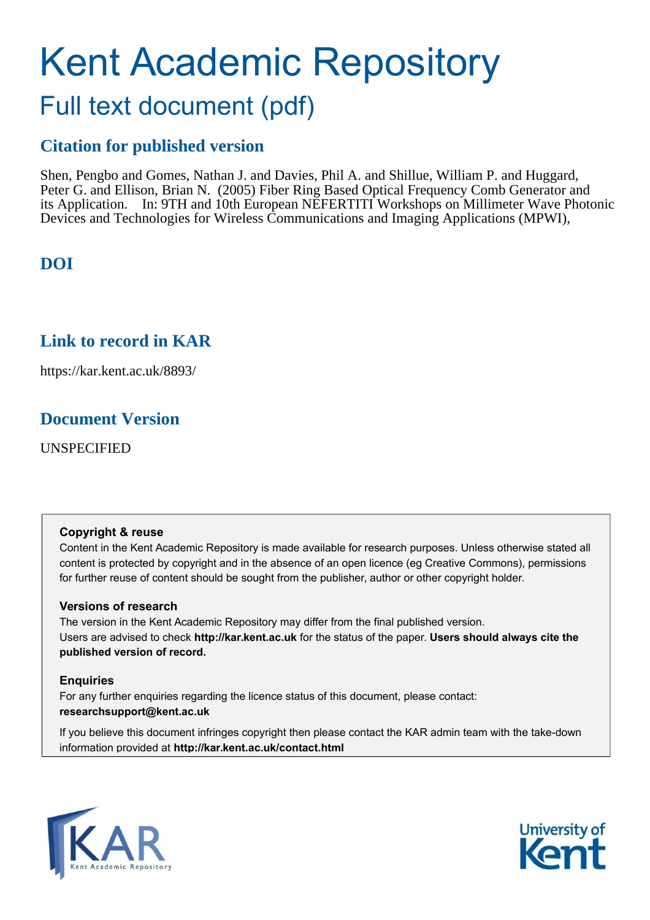# Kent Academic Repository

## Full text document (pdf)

## **Citation for published version**

Shen, Pengbo and Gomes, Nathan J. and Davies, Phil A. and Shillue, William P. and Huggard, Peter G. and Ellison, Brian N. (2005) Fiber Ring Based Optical Frequency Comb Generator and its Application. In: 9TH and 10th European NEFERTITI Workshops on Millimeter Wave Photonic Devices and Technologies for Wireless Communications and Imaging Applications (MPWI),

## **DOI**

## **Link to record in KAR**

https://kar.kent.ac.uk/8893/

## **Document Version**

UNSPECIFIED

#### **Copyright & reuse**

Content in the Kent Academic Repository is made available for research purposes. Unless otherwise stated all content is protected by copyright and in the absence of an open licence (eg Creative Commons), permissions for further reuse of content should be sought from the publisher, author or other copyright holder.

#### **Versions of research**

The version in the Kent Academic Repository may differ from the final published version. Users are advised to check **http://kar.kent.ac.uk** for the status of the paper. **Users should always cite the published version of record.**

#### **Enquiries**

For any further enquiries regarding the licence status of this document, please contact: **researchsupport@kent.ac.uk**

If you believe this document infringes copyright then please contact the KAR admin team with the take-down information provided at **http://kar.kent.ac.uk/contact.html**



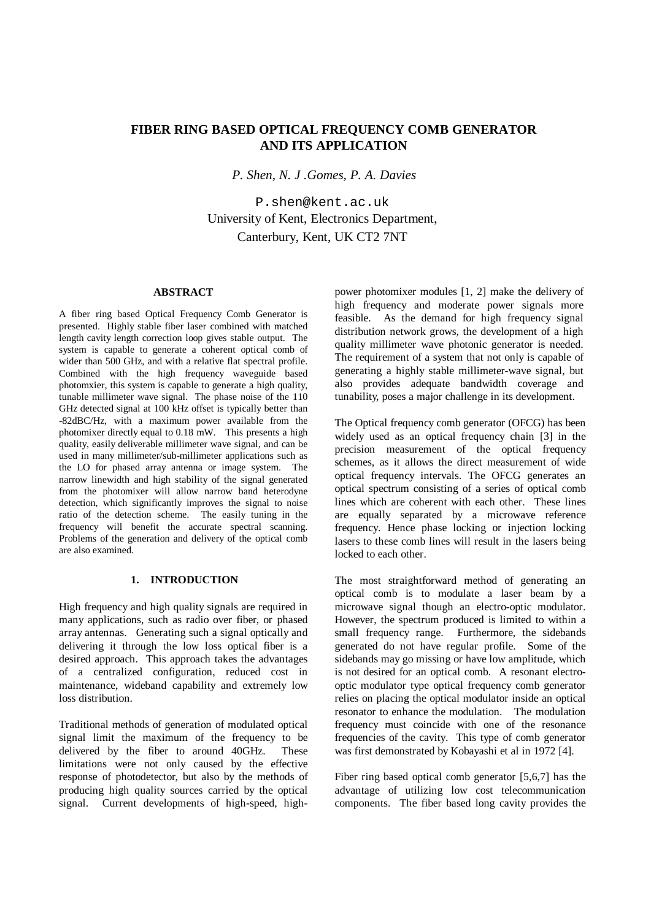#### **FIBER RING BASED OPTICAL FREQUENCY COMB GENERATOR AND ITS APPLICATION**

*P. Shen, N. J .Gomes, P. A. Davies*

P.shen@kent.ac.uk University of Kent, Electronics Department, Canterbury, Kent, UK CT2 7NT

#### **ABSTRACT**

A fiber ring based Optical Frequency Comb Generator is presented. Highly stable fiber laser combined with matched length cavity length correction loop gives stable output. The system is capable to generate a coherent optical comb of wider than 500 GHz, and with a relative flat spectral profile. Combined with the high frequency waveguide based photomxier, this system is capable to generate a high quality, tunable millimeter wave signal. The phase noise of the 110 GHz detected signal at 100 kHz offset is typically better than -82dBC/Hz, with a maximum power available from the photomixer directly equal to 0.18 mW. This presents a high quality, easily deliverable millimeter wave signal, and can be used in many millimeter/sub-millimeter applications such as the LO for phased array antenna or image system. The narrow linewidth and high stability of the signal generated from the photomixer will allow narrow band heterodyne detection, which significantly improves the signal to noise ratio of the detection scheme. The easily tuning in the frequency will benefit the accurate spectral scanning. Problems of the generation and delivery of the optical comb are also examined.

#### **1. INTRODUCTION**

High frequency and high quality signals are required in many applications, such as radio over fiber, or phased array antennas. Generating such a signal optically and delivering it through the low loss optical fiber is a desired approach. This approach takes the advantages of a centralized configuration, reduced cost in maintenance, wideband capability and extremely low loss distribution.

Traditional methods of generation of modulated optical signal limit the maximum of the frequency to be delivered by the fiber to around 40GHz. These limitations were not only caused by the effective response of photodetector, but also by the methods of producing high quality sources carried by the optical signal. Current developments of high-speed, highpower photomixer modules [1, 2] make the delivery of high frequency and moderate power signals more feasible. As the demand for high frequency signal distribution network grows, the development of a high quality millimeter wave photonic generator is needed. The requirement of a system that not only is capable of generating a highly stable millimeter-wave signal, but also provides adequate bandwidth coverage and tunability, poses a major challenge in its development.

The Optical frequency comb generator (OFCG) has been widely used as an optical frequency chain [3] in the precision measurement of the optical frequency schemes, as it allows the direct measurement of wide optical frequency intervals. The OFCG generates an optical spectrum consisting of a series of optical comb lines which are coherent with each other. These lines are equally separated by a microwave reference frequency. Hence phase locking or injection locking lasers to these comb lines will result in the lasers being locked to each other.

The most straightforward method of generating an optical comb is to modulate a laser beam by a microwave signal though an electro-optic modulator. However, the spectrum produced is limited to within a small frequency range. Furthermore, the sidebands generated do not have regular profile. Some of the sidebands may go missing or have low amplitude, which is not desired for an optical comb. A resonant electrooptic modulator type optical frequency comb generator relies on placing the optical modulator inside an optical resonator to enhance the modulation. The modulation frequency must coincide with one of the resonance frequencies of the cavity. This type of comb generator was first demonstrated by Kobayashi et al in 1972 [4].

Fiber ring based optical comb generator [5,6,7] has the advantage of utilizing low cost telecommunication components. The fiber based long cavity provides the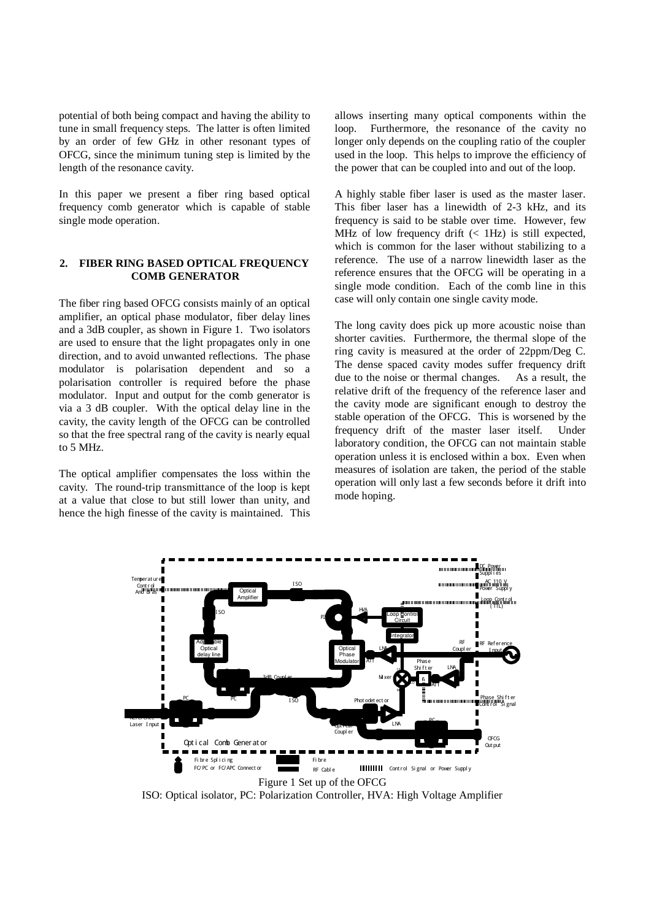potential of both being compact and having the ability to tune in small frequency steps. The latter is often limited by an order of few GHz in other resonant types of OFCG, since the minimum tuning step is limited by the length of the resonance cavity.

In this paper we present a fiber ring based optical frequency comb generator which is capable of stable single mode operation.

#### **2. FIBER RING BASED OPTICAL FREQUENCY COMB GENERATOR**

The fiber ring based OFCG consists mainly of an optical amplifier, an optical phase modulator, fiber delay lines and a 3dB coupler, as shown in Figure 1. Two isolators are used to ensure that the light propagates only in one direction, and to avoid unwanted reflections. The phase modulator is polarisation dependent and so a polarisation controller is required before the phase modulator. Input and output for the comb generator is via a 3 dB coupler. With the optical delay line in the cavity, the cavity length of the OFCG can be controlled so that the free spectral rang of the cavity is nearly equal to 5 MHz.

The optical amplifier compensates the loss within the cavity. The round-trip transmittance of the loop is kept at a value that close to but still lower than unity, and hence the high finesse of the cavity is maintained. This

allows inserting many optical components within the loop. Furthermore, the resonance of the cavity no longer only depends on the coupling ratio of the coupler used in the loop. This helps to improve the efficiency of the power that can be coupled into and out of the loop.

A highly stable fiber laser is used as the master laser. This fiber laser has a linewidth of 2-3 kHz, and its frequency is said to be stable over time. However, few MHz of low frequency drift  $(< 1$ Hz) is still expected, which is common for the laser without stabilizing to a reference. The use of a narrow linewidth laser as the reference ensures that the OFCG will be operating in a single mode condition. Each of the comb line in this case will only contain one single cavity mode.

The long cavity does pick up more acoustic noise than shorter cavities. Furthermore, the thermal slope of the ring cavity is measured at the order of 22ppm/Deg C. The dense spaced cavity modes suffer frequency drift due to the noise or thermal changes. As a result, the due to the noise or thermal changes. relative drift of the frequency of the reference laser and the cavity mode are significant enough to destroy the stable operation of the OFCG. This is worsened by the frequency drift of the master laser itself. Under laboratory condition, the OFCG can not maintain stable operation unless it is enclosed within a box. Even when measures of isolation are taken, the period of the stable operation will only last a few seconds before it drift into mode hoping.



ISO: Optical isolator, PC: Polarization Controller, HVA: High Voltage Amplifier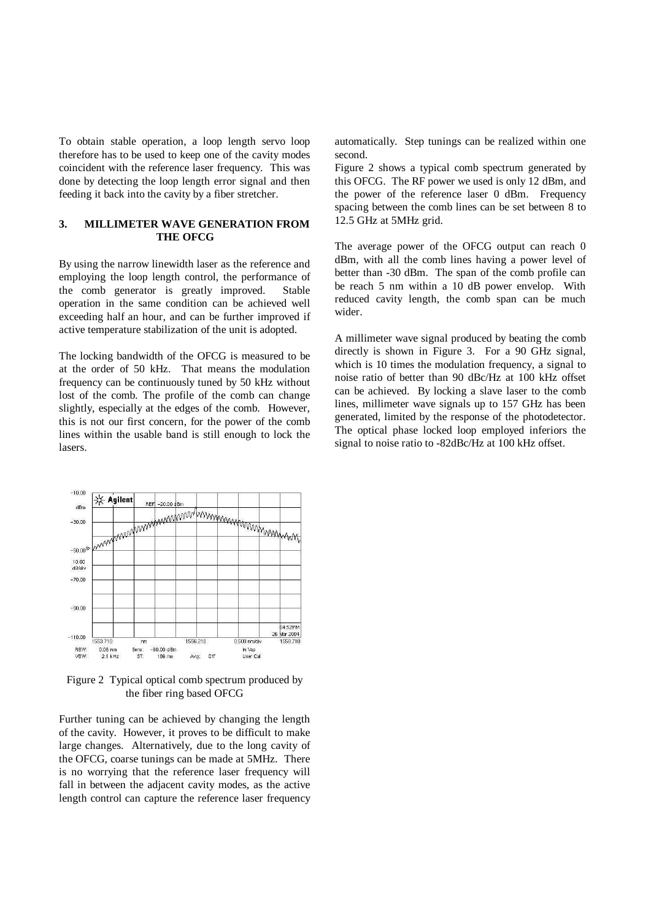To obtain stable operation, a loop length servo loop therefore has to be used to keep one of the cavity modes coincident with the reference laser frequency. This was done by detecting the loop length error signal and then feeding it back into the cavity by a fiber stretcher.

#### **3. MILLIMETER WAVE GENERATION FROM THE OFCG**

By using the narrow linewidth laser as the reference and employing the loop length control, the performance of the comb generator is greatly improved. Stable operation in the same condition can be achieved well exceeding half an hour, and can be further improved if active temperature stabilization of the unit is adopted.

The locking bandwidth of the OFCG is measured to be at the order of 50 kHz. That means the modulation frequency can be continuously tuned by 50 kHz without lost of the comb. The profile of the comb can change slightly, especially at the edges of the comb. However, this is not our first concern, for the power of the comb lines within the usable band is still enough to lock the lasers.

automatically. Step tunings can be realized within one second.

Figure 2 shows a typical comb spectrum generated by this OFCG. The RF power we used is only 12 dBm, and the power of the reference laser 0 dBm. Frequency spacing between the comb lines can be set between 8 to 12.5 GHz at 5MHz grid.

The average power of the OFCG output can reach 0 dBm, with all the comb lines having a power level of better than -30 dBm. The span of the comb profile can be reach 5 nm within a 10 dB power envelop. With reduced cavity length, the comb span can be much wider.

A millimeter wave signal produced by beating the comb directly is shown in Figure 3. For a 90 GHz signal, which is 10 times the modulation frequency, a signal to noise ratio of better than 90 dBc/Hz at 100 kHz offset can be achieved. By locking a slave laser to the comb lines, millimeter wave signals up to 157 GHz has been generated, limited by the response of the photodetector. The optical phase locked loop employed inferiors the signal to noise ratio to -82dBc/Hz at 100 kHz offset.



Figure 2 Typical optical comb spectrum produced by the fiber ring based OFCG

Further tuning can be achieved by changing the length of the cavity. However, it proves to be difficult to make large changes. Alternatively, due to the long cavity of the OFCG, coarse tunings can be made at 5MHz. There is no worrying that the reference laser frequency will fall in between the adjacent cavity modes, as the active length control can capture the reference laser frequency